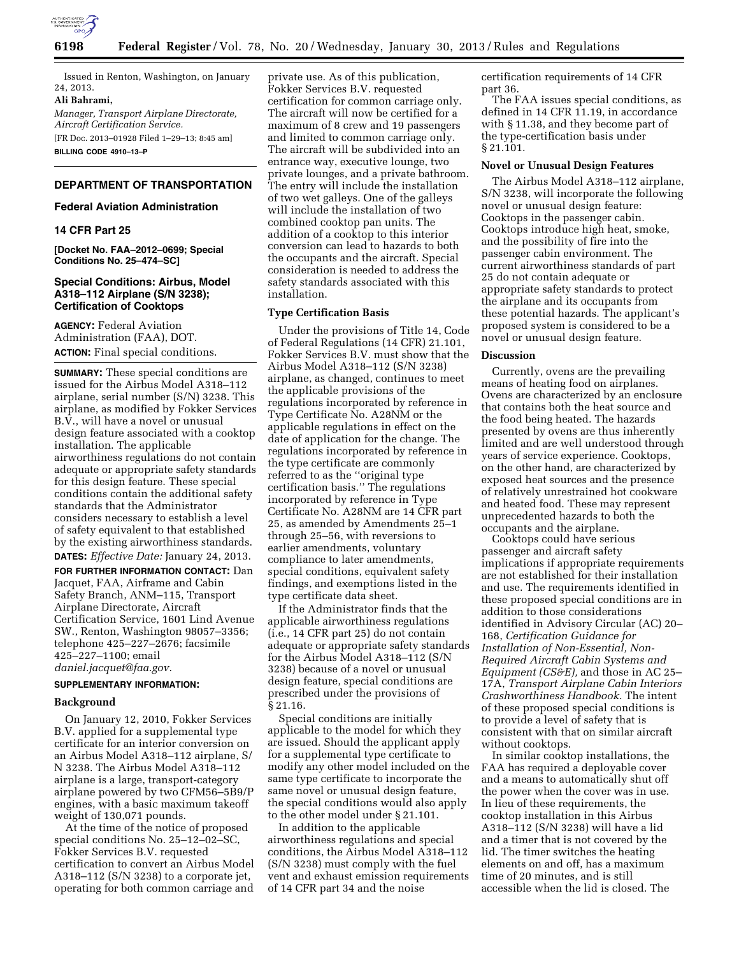

Issued in Renton, Washington, on January 24, 2013.

**Ali Bahrami,** 

*Manager, Transport Airplane Directorate, Aircraft Certification Service.*  [FR Doc. 2013–01928 Filed 1–29–13; 8:45 am]

**BILLING CODE 4910–13–P** 

# **DEPARTMENT OF TRANSPORTATION**

# **Federal Aviation Administration**

# **14 CFR Part 25**

**[Docket No. FAA–2012–0699; Special Conditions No. 25–474–SC]** 

# **Special Conditions: Airbus, Model A318–112 Airplane (S/N 3238); Certification of Cooktops**

**AGENCY:** Federal Aviation Administration (FAA), DOT. **ACTION:** Final special conditions.

**SUMMARY:** These special conditions are issued for the Airbus Model A318–112 airplane, serial number (S/N) 3238. This airplane, as modified by Fokker Services B.V., will have a novel or unusual design feature associated with a cooktop installation. The applicable airworthiness regulations do not contain adequate or appropriate safety standards for this design feature. These special conditions contain the additional safety standards that the Administrator considers necessary to establish a level of safety equivalent to that established by the existing airworthiness standards. **DATES:** *Effective Date:* January 24, 2013.

**FOR FURTHER INFORMATION CONTACT:** Dan Jacquet, FAA, Airframe and Cabin Safety Branch, ANM–115, Transport Airplane Directorate, Aircraft Certification Service, 1601 Lind Avenue SW., Renton, Washington 98057–3356; telephone 425–227–2676; facsimile 425–227–1100; email *[daniel.jacquet@faa.gov.](mailto:daniel.jacquet@faa.gov)* 

## **SUPPLEMENTARY INFORMATION:**

#### **Background**

On January 12, 2010, Fokker Services B.V. applied for a supplemental type certificate for an interior conversion on an Airbus Model A318–112 airplane, S/ N 3238. The Airbus Model A318–112 airplane is a large, transport-category airplane powered by two CFM56–5B9/P engines, with a basic maximum takeoff weight of 130,071 pounds.

At the time of the notice of proposed special conditions No. 25–12–02–SC, Fokker Services B.V. requested certification to convert an Airbus Model A318–112  $(S/N 3238)$  to a corporate jet, operating for both common carriage and

private use. As of this publication, Fokker Services B.V. requested certification for common carriage only. The aircraft will now be certified for a maximum of 8 crew and 19 passengers and limited to common carriage only. The aircraft will be subdivided into an entrance way, executive lounge, two private lounges, and a private bathroom. The entry will include the installation of two wet galleys. One of the galleys will include the installation of two combined cooktop pan units. The addition of a cooktop to this interior conversion can lead to hazards to both the occupants and the aircraft. Special consideration is needed to address the safety standards associated with this installation.

### **Type Certification Basis**

Under the provisions of Title 14, Code of Federal Regulations (14 CFR) 21.101, Fokker Services B.V. must show that the Airbus Model A318–112 (S/N 3238) airplane, as changed, continues to meet the applicable provisions of the regulations incorporated by reference in Type Certificate No. A28NM or the applicable regulations in effect on the date of application for the change. The regulations incorporated by reference in the type certificate are commonly referred to as the ''original type certification basis.'' The regulations incorporated by reference in Type Certificate No. A28NM are 14 CFR part 25, as amended by Amendments 25–1 through 25–56, with reversions to earlier amendments, voluntary compliance to later amendments, special conditions, equivalent safety findings, and exemptions listed in the type certificate data sheet.

If the Administrator finds that the applicable airworthiness regulations (i.e., 14 CFR part 25) do not contain adequate or appropriate safety standards for the Airbus Model A318–112 (S/N 3238) because of a novel or unusual design feature, special conditions are prescribed under the provisions of § 21.16.

Special conditions are initially applicable to the model for which they are issued. Should the applicant apply for a supplemental type certificate to modify any other model included on the same type certificate to incorporate the same novel or unusual design feature, the special conditions would also apply to the other model under § 21.101.

In addition to the applicable airworthiness regulations and special conditions, the Airbus Model A318–112 (S/N 3238) must comply with the fuel vent and exhaust emission requirements of 14 CFR part 34 and the noise

certification requirements of 14 CFR part 36.

The FAA issues special conditions, as defined in 14 CFR 11.19, in accordance with § 11.38, and they become part of the type-certification basis under § 21.101.

# **Novel or Unusual Design Features**

The Airbus Model A318–112 airplane, S/N 3238, will incorporate the following novel or unusual design feature: Cooktops in the passenger cabin. Cooktops introduce high heat, smoke, and the possibility of fire into the passenger cabin environment. The current airworthiness standards of part 25 do not contain adequate or appropriate safety standards to protect the airplane and its occupants from these potential hazards. The applicant's proposed system is considered to be a novel or unusual design feature.

# **Discussion**

Currently, ovens are the prevailing means of heating food on airplanes. Ovens are characterized by an enclosure that contains both the heat source and the food being heated. The hazards presented by ovens are thus inherently limited and are well understood through years of service experience. Cooktops, on the other hand, are characterized by exposed heat sources and the presence of relatively unrestrained hot cookware and heated food. These may represent unprecedented hazards to both the occupants and the airplane.

Cooktops could have serious passenger and aircraft safety implications if appropriate requirements are not established for their installation and use. The requirements identified in these proposed special conditions are in addition to those considerations identified in Advisory Circular (AC) 20– 168, *Certification Guidance for Installation of Non-Essential, Non-Required Aircraft Cabin Systems and Equipment (CS&E),* and those in AC 25– 17A, *Transport Airplane Cabin Interiors Crashworthiness Handbook.* The intent of these proposed special conditions is to provide a level of safety that is consistent with that on similar aircraft without cooktops.

In similar cooktop installations, the FAA has required a deployable cover and a means to automatically shut off the power when the cover was in use. In lieu of these requirements, the cooktop installation in this Airbus A318–112 (S/N 3238) will have a lid and a timer that is not covered by the lid. The timer switches the heating elements on and off, has a maximum time of 20 minutes, and is still accessible when the lid is closed. The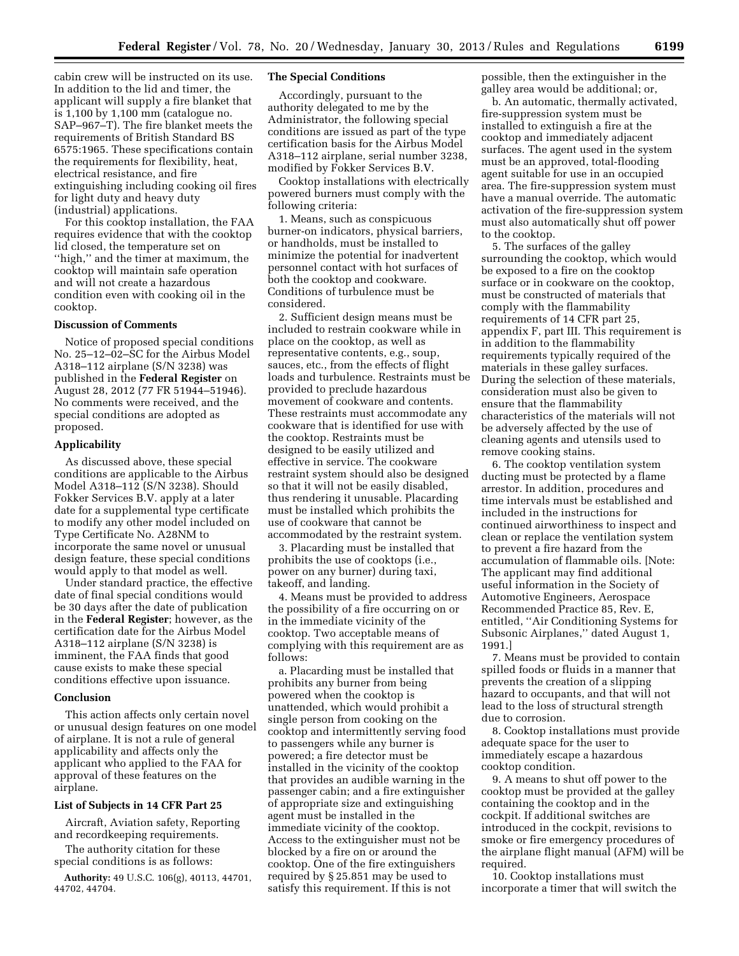cabin crew will be instructed on its use. In addition to the lid and timer, the applicant will supply a fire blanket that is 1,100 by 1,100 mm (catalogue no. SAP–967–T). The fire blanket meets the requirements of British Standard BS 6575:1965. These specifications contain the requirements for flexibility, heat, electrical resistance, and fire extinguishing including cooking oil fires for light duty and heavy duty (industrial) applications.

For this cooktop installation, the FAA requires evidence that with the cooktop lid closed, the temperature set on ''high,'' and the timer at maximum, the cooktop will maintain safe operation and will not create a hazardous condition even with cooking oil in the cooktop.

## **Discussion of Comments**

Notice of proposed special conditions No. 25–12–02–SC for the Airbus Model A318–112 airplane (S/N 3238) was published in the **Federal Register** on August 28, 2012 (77 FR 51944–51946). No comments were received, and the special conditions are adopted as proposed.

#### **Applicability**

As discussed above, these special conditions are applicable to the Airbus Model A318–112 (S/N 3238). Should Fokker Services B.V. apply at a later date for a supplemental type certificate to modify any other model included on Type Certificate No. A28NM to incorporate the same novel or unusual design feature, these special conditions would apply to that model as well.

Under standard practice, the effective date of final special conditions would be 30 days after the date of publication in the **Federal Register**; however, as the certification date for the Airbus Model A318–112 airplane (S/N 3238) is imminent, the FAA finds that good cause exists to make these special conditions effective upon issuance.

## **Conclusion**

This action affects only certain novel or unusual design features on one model of airplane. It is not a rule of general applicability and affects only the applicant who applied to the FAA for approval of these features on the airplane.

### **List of Subjects in 14 CFR Part 25**

Aircraft, Aviation safety, Reporting and recordkeeping requirements.

The authority citation for these special conditions is as follows:

**Authority:** 49 U.S.C. 106(g), 40113, 44701, 44702, 44704.

### **The Special Conditions**

Accordingly, pursuant to the authority delegated to me by the Administrator, the following special conditions are issued as part of the type certification basis for the Airbus Model A318–112 airplane, serial number 3238, modified by Fokker Services B.V.

Cooktop installations with electrically powered burners must comply with the following criteria:

1. Means, such as conspicuous burner-on indicators, physical barriers, or handholds, must be installed to minimize the potential for inadvertent personnel contact with hot surfaces of both the cooktop and cookware. Conditions of turbulence must be considered.

2. Sufficient design means must be included to restrain cookware while in place on the cooktop, as well as representative contents, e.g., soup, sauces, etc., from the effects of flight loads and turbulence. Restraints must be provided to preclude hazardous movement of cookware and contents. These restraints must accommodate any cookware that is identified for use with the cooktop. Restraints must be designed to be easily utilized and effective in service. The cookware restraint system should also be designed so that it will not be easily disabled, thus rendering it unusable. Placarding must be installed which prohibits the use of cookware that cannot be accommodated by the restraint system.

3. Placarding must be installed that prohibits the use of cooktops (i.e., power on any burner) during taxi, takeoff, and landing.

4. Means must be provided to address the possibility of a fire occurring on or in the immediate vicinity of the cooktop. Two acceptable means of complying with this requirement are as follows:

a. Placarding must be installed that prohibits any burner from being powered when the cooktop is unattended, which would prohibit a single person from cooking on the cooktop and intermittently serving food to passengers while any burner is powered; a fire detector must be installed in the vicinity of the cooktop that provides an audible warning in the passenger cabin; and a fire extinguisher of appropriate size and extinguishing agent must be installed in the immediate vicinity of the cooktop. Access to the extinguisher must not be blocked by a fire on or around the cooktop. One of the fire extinguishers required by § 25.851 may be used to satisfy this requirement. If this is not

possible, then the extinguisher in the galley area would be additional; or,

b. An automatic, thermally activated, fire-suppression system must be installed to extinguish a fire at the cooktop and immediately adjacent surfaces. The agent used in the system must be an approved, total-flooding agent suitable for use in an occupied area. The fire-suppression system must have a manual override. The automatic activation of the fire-suppression system must also automatically shut off power to the cooktop.

5. The surfaces of the galley surrounding the cooktop, which would be exposed to a fire on the cooktop surface or in cookware on the cooktop, must be constructed of materials that comply with the flammability requirements of 14 CFR part 25, appendix F, part III. This requirement is in addition to the flammability requirements typically required of the materials in these galley surfaces. During the selection of these materials, consideration must also be given to ensure that the flammability characteristics of the materials will not be adversely affected by the use of cleaning agents and utensils used to remove cooking stains.

6. The cooktop ventilation system ducting must be protected by a flame arrestor. In addition, procedures and time intervals must be established and included in the instructions for continued airworthiness to inspect and clean or replace the ventilation system to prevent a fire hazard from the accumulation of flammable oils. [Note: The applicant may find additional useful information in the Society of Automotive Engineers, Aerospace Recommended Practice 85, Rev. E, entitled, ''Air Conditioning Systems for Subsonic Airplanes,'' dated August 1, 1991.]

7. Means must be provided to contain spilled foods or fluids in a manner that prevents the creation of a slipping hazard to occupants, and that will not lead to the loss of structural strength due to corrosion.

8. Cooktop installations must provide adequate space for the user to immediately escape a hazardous cooktop condition.

9. A means to shut off power to the cooktop must be provided at the galley containing the cooktop and in the cockpit. If additional switches are introduced in the cockpit, revisions to smoke or fire emergency procedures of the airplane flight manual (AFM) will be required.

10. Cooktop installations must incorporate a timer that will switch the